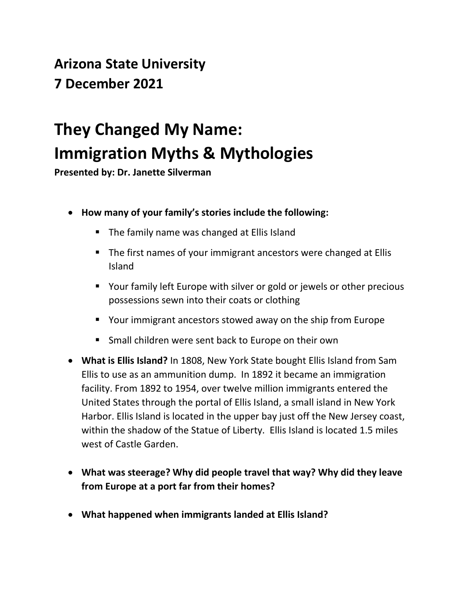## **Arizona State University 7 December 2021**

## **They Changed My Name: Immigration Myths & Mythologies**

**Presented by: Dr. Janette Silverman**

- **How many of your family's stories include the following:**
	- The family name was changed at Ellis Island
	- The first names of your immigrant ancestors were changed at Ellis Island
	- Your family left Europe with silver or gold or jewels or other precious possessions sewn into their coats or clothing
	- Your immigrant ancestors stowed away on the ship from Europe
	- Small children were sent back to Europe on their own
- **What is Ellis Island?** In 1808, New York State bought Ellis Island from Sam Ellis to use as an ammunition dump. In 1892 it became an immigration facility. From 1892 to 1954, over twelve million immigrants entered the United States through the portal of Ellis Island, a small island in New York Harbor. Ellis Island is located in the upper bay just off the New Jersey coast, within the shadow of the Statue of Liberty. Ellis Island is located 1.5 miles west of Castle Garden.
- **What was steerage? Why did people travel that way? Why did they leave from Europe at a port far from their homes?**
- **What happened when immigrants landed at Ellis Island?**